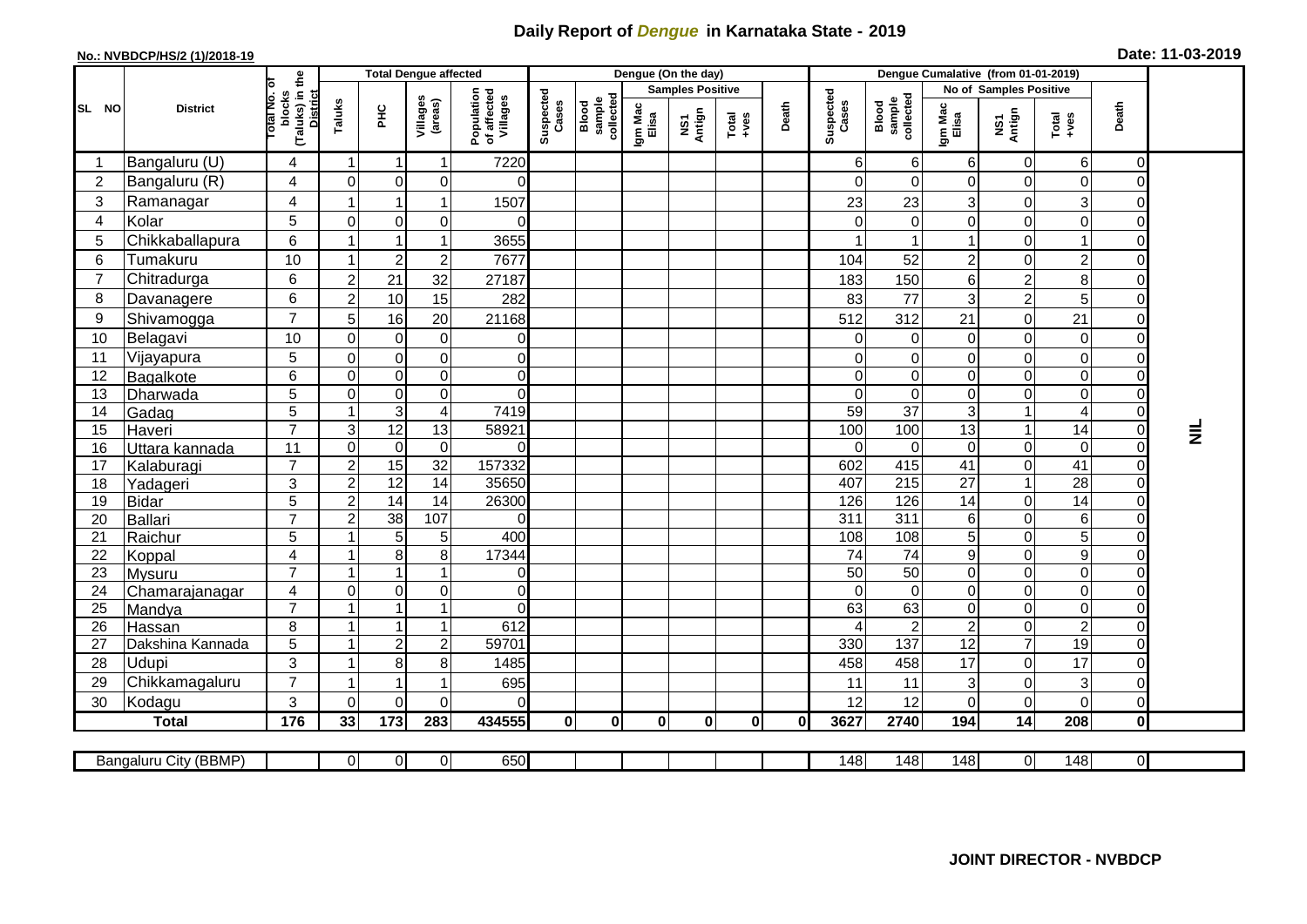## **Daily Report of** *Dengue* **in Karnataka State - 2019**

## **No.: NVBDCP/HS/2 (1)/2018-19 Date: 11-03-2019**

|                  | <b>District</b>            |                                                      | <b>Total Dengue affected</b> |                                    |                         |                     |                                                             |                              |                         | Dengue (On the day) |                                                                      |              |                    |                              |                                    |                            |                                                              |                                  |          |
|------------------|----------------------------|------------------------------------------------------|------------------------------|------------------------------------|-------------------------|---------------------|-------------------------------------------------------------|------------------------------|-------------------------|---------------------|----------------------------------------------------------------------|--------------|--------------------|------------------------------|------------------------------------|----------------------------|--------------------------------------------------------------|----------------------------------|----------|
|                  |                            |                                                      |                              |                                    |                         |                     | Suspected<br>Cases<br>Population<br>of affected<br>Villages |                              | <b>Samples Positive</b> |                     |                                                                      |              |                    |                              | No of Samples Positive             |                            |                                                              |                                  |          |
| SL NO            |                            | (Taluks) in the<br>District<br>otal No. of<br>blocks | Taluks                       | PНC                                | Villages<br>(areas)     |                     |                                                             | Blood<br>sample<br>collected | Igm Mac<br>Elisa        | NS1<br>Antign       | $\begin{array}{c}\n\text{Total} \\ \text{1} & \text{1}\n\end{array}$ | Death        | Suspected<br>Cases | Blood<br>sample<br>collected | Igm Mac<br>Elisa                   | NS1<br>Antign              | $\begin{array}{c}\n\text{Total} \\ \text{+ves}\n\end{array}$ | Death                            |          |
|                  | Bangaluru (U)              | 4                                                    | $\overline{1}$               | $\overline{\mathbf{1}}$            | 1                       | 7220                |                                                             |                              |                         |                     |                                                                      |              | 6                  | 6                            | 6                                  | $\mathbf 0$                | 6                                                            | $\Omega$                         |          |
| $\boldsymbol{2}$ | Bangaluru (R)              | 4                                                    | $\mathbf{0}$                 | $\mathbf 0$                        | $\mathbf 0$             | 0                   |                                                             |                              |                         |                     |                                                                      |              | $\Omega$           | $\Omega$                     | $\Omega$                           | $\mathbf 0$                | $\mathbf 0$                                                  | ΩI                               |          |
| 3                | Ramanagar                  | $\overline{4}$                                       |                              | 1                                  |                         | 1507                |                                                             |                              |                         |                     |                                                                      |              | 23                 | 23                           | 3                                  | $\mathbf 0$                | 3                                                            | 0                                |          |
| 4                | Kolar                      | 5                                                    | $\mathbf 0$                  | $\mathbf 0$                        | $\mathbf 0$             | 0                   |                                                             |                              |                         |                     |                                                                      |              | $\Omega$           | 0                            | $\mathbf 0$                        | $\mathbf 0$                | $\mathbf 0$                                                  | $\overline{0}$                   |          |
| 5                | Chikkaballapura            | $6\phantom{1}$                                       |                              |                                    |                         | 3655                |                                                             |                              |                         |                     |                                                                      |              |                    |                              | $\mathbf{1}$                       | $\mathbf 0$                | $\mathbf{1}$                                                 | $\overline{0}$                   |          |
| $\,6$            | Tumakuru                   | 10                                                   |                              | $\overline{2}$                     | $\overline{c}$          | 7677                |                                                             |                              |                         |                     |                                                                      |              | 104                | 52                           | $\overline{c}$                     | $\mathbf 0$                | $\overline{c}$                                               | $\Omega$                         |          |
| $\overline{7}$   | Chitradurga                | $6\phantom{1}$                                       | $\overline{2}$               | 21                                 | 32                      | 27187               |                                                             |                              |                         |                     |                                                                      |              | 183                | 150                          | $\,6\,$                            | $\overline{2}$             | $\bf 8$                                                      | 0                                |          |
| 8                | Davanagere                 | 6                                                    | $\overline{2}$               | 10                                 | 15                      | 282                 |                                                             |                              |                         |                     |                                                                      |              | 83                 | 77                           | 3                                  | $\overline{2}$             | $\overline{5}$                                               | $\Omega$                         |          |
| 9                | Shivamogga                 | $\overline{7}$                                       | 5                            | 16                                 | 20                      | 21168               |                                                             |                              |                         |                     |                                                                      |              | 512                | 312                          | 21                                 | $\mathbf 0$                | 21                                                           | 0                                |          |
| 10               | Belagavi                   | 10                                                   | $\mathbf 0$                  | $\boldsymbol{0}$                   | $\pmb{0}$               | 0                   |                                                             |                              |                         |                     |                                                                      |              | $\Omega$           | 0                            | $\boldsymbol{0}$                   | $\mathbf 0$                | $\mathbf 0$                                                  | 0                                |          |
| 11               | Vijayapura                 | 5                                                    | $\mathbf 0$                  | $\mathbf 0$                        | $\mathbf 0$             | $\overline{0}$      |                                                             |                              |                         |                     |                                                                      |              | $\Omega$           | 0                            | $\mathbf 0$                        | $\mathbf 0$                | $\mathbf 0$                                                  | $\Omega$                         |          |
| 12               | Bagalkote                  | $\,6$                                                | $\mathbf 0$                  | $\boldsymbol{0}$                   | $\overline{0}$          | $\overline{0}$      |                                                             |                              |                         |                     |                                                                      |              | 0                  | $\boldsymbol{0}$             | $\mathbf 0$                        | $\mathbf 0$                | $\pmb{0}$                                                    | $\Omega$                         |          |
| 13               | Dharwada                   | 5                                                    | $\Omega$                     | $\mathbf 0$                        | $\mathbf 0$             | $\overline{0}$      |                                                             |                              |                         |                     |                                                                      |              | $\Omega$           | $\mathbf 0$                  | $\Omega$                           | $\Omega$                   | $\mathbf 0$                                                  | $\Omega$                         |          |
| 14               | Gadag                      | $\overline{5}$                                       |                              | $\overline{3}$                     | $\overline{\mathbf{4}}$ | 7419                |                                                             |                              |                         |                     |                                                                      |              | 59                 | 37                           | $\overline{3}$                     |                            | $\overline{\mathbf{4}}$                                      | $\overline{0}$                   |          |
| 15               | Haveri                     | $\overline{7}$                                       | 3                            | $\overline{12}$                    | 13                      | 58921               |                                                             |                              |                         |                     |                                                                      |              | 100                | 100                          | 13                                 | $\overline{1}$             | 14                                                           | $\overline{0}$                   | $\equiv$ |
| 16               | Uttara kannada             | 11                                                   | $\mathbf 0$                  | $\mathbf 0$                        | $\mathbf 0$             | $\Omega$            |                                                             |                              |                         |                     |                                                                      |              | $\Omega$           | $\mathbf 0$                  | $\Omega$                           | $\mathbf 0$                | $\mathbf 0$                                                  | $\overline{0}$                   |          |
| 17               | Kalaburagi                 | $\overline{7}$                                       | $\overline{2}$               | 15                                 | $\overline{32}$         | 157332              |                                                             |                              |                         |                     |                                                                      |              | 602                | 415                          | $\overline{41}$                    | $\mathbf 0$                | $\overline{41}$                                              | $\Omega$                         |          |
| 18               | Yadageri                   | 3                                                    | $\overline{2}$               | 12                                 | 14                      | 35650               |                                                             |                              |                         |                     |                                                                      |              | 407                | 215                          | 27                                 | $\mathbf{1}$               | 28                                                           | $\overline{0}$                   |          |
| 19               | <b>Bidar</b>               | 5                                                    | $\overline{2}$               | 14                                 | 14                      | 26300               |                                                             |                              |                         |                     |                                                                      |              | 126                | 126                          | 14                                 | $\mathbf 0$                | 14                                                           | $\overline{0}$                   |          |
| 20               | Ballari                    | $\overline{7}$                                       | $\overline{2}$               | $\overline{38}$                    | 107                     | 0                   |                                                             |                              |                         |                     |                                                                      |              | $\overline{311}$   | $\overline{311}$             | 6                                  | $\Omega$                   | $6\phantom{1}$                                               | $\overline{0}$                   |          |
| 21               | Raichur                    | 5                                                    |                              | 5                                  | 5                       | 400                 |                                                             |                              |                         |                     |                                                                      |              | 108                | 108                          | 5                                  | $\mathbf 0$                | $\overline{5}$                                               | $\overline{0}$                   |          |
| 22               | Koppal                     | 4                                                    |                              | 8                                  | 8                       | 17344               |                                                             |                              |                         |                     |                                                                      |              | 74                 | 74                           | $\boldsymbol{9}$                   | $\Omega$                   | 9                                                            | $\Omega$                         |          |
| 23               | <b>Mysuru</b>              | $\overline{7}$                                       |                              | -1                                 |                         | 0                   |                                                             |                              |                         |                     |                                                                      |              | 50                 | 50                           | $\pmb{0}$                          | $\mathbf 0$                | $\mathsf{O}\xspace$                                          | $\overline{0}$                   |          |
| 24               | Chamarajanagar             | $\overline{4}$<br>$\overline{7}$                     | $\Omega$                     | $\boldsymbol{0}$<br>$\overline{1}$ | 0<br>1                  | $\overline{0}$<br>0 |                                                             |                              |                         |                     |                                                                      |              | $\Omega$<br>63     | $\mathbf 0$<br>63            | $\mathbf 0$                        | $\mathbf 0$                | $\mathsf{O}\xspace$                                          | $\overline{0}$<br>$\overline{0}$ |          |
| 25<br>26         | Mandya                     | 8                                                    |                              | $\overline{ }$                     | 1                       | 612                 |                                                             |                              |                         |                     |                                                                      |              | 4                  | $\overline{c}$               | $\boldsymbol{0}$<br>$\overline{2}$ | $\mathbf 0$<br>$\mathbf 0$ | $\pmb{0}$<br>$\overline{c}$                                  | $\overline{0}$                   |          |
| 27               | Hassan<br>Dakshina Kannada | 5                                                    |                              | $\overline{2}$                     | $\overline{c}$          | 59701               |                                                             |                              |                         |                     |                                                                      |              | 330                | 137                          | 12                                 | $\overline{7}$             | 19                                                           | $\overline{0}$                   |          |
| 28               | Udupi                      | 3                                                    |                              | 8                                  | 8                       | 1485                |                                                             |                              |                         |                     |                                                                      |              | 458                | 458                          | 17                                 | $\mathbf 0$                | 17                                                           | 0                                |          |
| 29               | Chikkamagaluru             | $\overline{7}$                                       |                              | -1                                 |                         | 695                 |                                                             |                              |                         |                     |                                                                      |              | 11                 | 11                           | 3                                  | $\mathbf 0$                | 3                                                            | $\Omega$                         |          |
| 30               | Kodagu                     | 3                                                    | $\Omega$                     | 0                                  | $\mathbf 0$             | $\Omega$            |                                                             |                              |                         |                     |                                                                      |              | 12                 | 12                           | $\Omega$                           | $\mathbf 0$                | 0                                                            | ΟI                               |          |
|                  | <b>Total</b>               | 176                                                  | 33                           | 173                                | 283                     | 434555              | $\mathbf{0}$                                                | $\mathbf{0}$                 | $\mathbf{0}$            | 0                   | $\mathbf{0}$                                                         | $\mathbf{0}$ | 3627               | 2740                         | 194                                | 14                         | 208                                                          | $\mathbf{0}$                     |          |
|                  |                            |                                                      |                              |                                    |                         |                     |                                                             |                              |                         |                     |                                                                      |              |                    |                              |                                    |                            |                                                              |                                  |          |
|                  | Bangaluru City (BBMP)      |                                                      | $\overline{0}$               | $\overline{0}$                     | $\overline{0}$          | 650                 |                                                             |                              |                         |                     |                                                                      |              | 148                | 148                          | 148                                | $\overline{0}$             | $\overline{148}$                                             | $\overline{0}$                   |          |